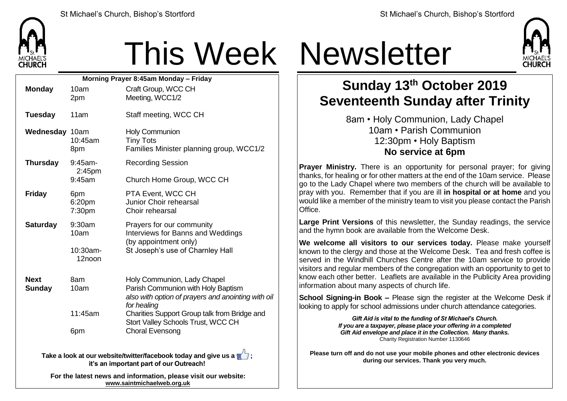

## This Week Newsletter

| Morning Prayer 8:45am Monday - Friday |                              |                               |                                                                                                                                        |  |  |
|---------------------------------------|------------------------------|-------------------------------|----------------------------------------------------------------------------------------------------------------------------------------|--|--|
|                                       | <b>Monday</b>                | 10am<br>2pm                   | Craft Group, WCC CH<br>Meeting, WCC1/2                                                                                                 |  |  |
|                                       | <b>Tuesday</b>               | 11am                          | Staff meeting, WCC CH                                                                                                                  |  |  |
|                                       | Wednesday 10am               | 10:45am<br>8pm                | <b>Holy Communion</b><br><b>Tiny Tots</b><br>Families Minister planning group, WCC1/2                                                  |  |  |
|                                       | <b>Thursday</b>              | 9:45am-<br>2:45 <sub>pm</sub> | <b>Recording Session</b>                                                                                                               |  |  |
|                                       |                              | 9:45am                        | Church Home Group, WCC CH                                                                                                              |  |  |
|                                       | <b>Friday</b>                | 6pm<br>6:20pm<br>7:30pm       | PTA Event, WCC CH<br>Junior Choir rehearsal<br>Choir rehearsal                                                                         |  |  |
|                                       | <b>Saturday</b>              | 9:30am<br>10am                | Prayers for our community<br>Interviews for Banns and Weddings<br>(by appointment only)                                                |  |  |
|                                       |                              | $10:30$ am-<br>12noon         | St Joseph's use of Charnley Hall                                                                                                       |  |  |
|                                       | <b>Next</b><br><b>Sunday</b> | 8am<br>10am                   | Holy Communion, Lady Chapel<br>Parish Communion with Holy Baptism<br>also with option of prayers and anointing with oil<br>for healing |  |  |
|                                       |                              | 11:45am                       | Charities Support Group talk from Bridge and<br>Stort Valley Schools Trust, WCC CH                                                     |  |  |
|                                       |                              | 6pm                           | <b>Choral Evensong</b>                                                                                                                 |  |  |
|                                       |                              |                               |                                                                                                                                        |  |  |

**Take a look at our website/twitter/facebook today and give us a**  $\sqrt{ }$ **; it's an important part of our Outreach!**

**For the latest news and information, please visit our website: [www.saintmichaelweb.org.uk](http://www.saintmichaelweb.org.uk/)**



## **Sunday 13th October 2019 Seventeenth Sunday after Trinity**

8am • Holy Communion, Lady Chapel 10am • Parish Communion 12:30pm • Holy Baptism **No service at 6pm**

**Prayer Ministry.** There is an opportunity for personal prayer; for giving thanks, for healing or for other matters at the end of the 10am service. Please go to the Lady Chapel where two members of the church will be available to pray with you. Remember that if you are ill **in hospital or at home** and you would like a member of the ministry team to visit you please contact the Parish Office.

**Large Print Versions** of this newsletter, the Sunday readings, the service and the hymn book are available from the Welcome Desk.

**We welcome all visitors to our services today.** Please make yourself known to the clergy and those at the Welcome Desk. Tea and fresh coffee is served in the Windhill Churches Centre after the 10am service to provide visitors and regular members of the congregation with an opportunity to get to know each other better. Leaflets are available in the Publicity Area providing information about many aspects of church life.

**School Signing-in Book –** Please sign the register at the Welcome Desk if looking to apply for school admissions under church attendance categories.

> *Gift Aid is vital to the funding of St Michael's Church. If you are a taxpayer, please place your offering in a completed Gift Aid envelope and place it in the Collection. Many thanks.* Charity Registration Number 1130646

**Please turn off and do not use your mobile phones and other electronic devices during our services. Thank you very much.**